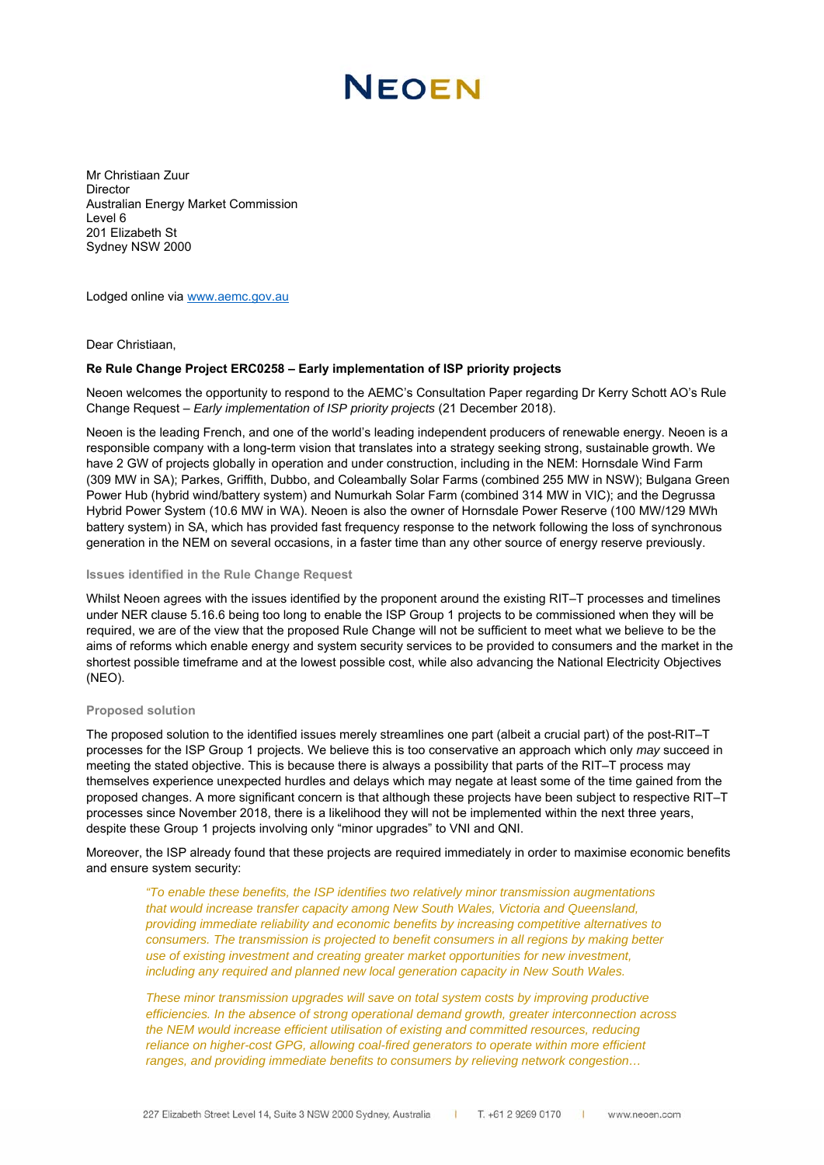# NFOFN

Mr Christiaan Zuur **Director** Australian Energy Market Commission Level 6 201 Elizabeth St Sydney NSW 2000

Lodged online via www.aemc.gov.au

Dear Christiaan,

### **Re Rule Change Project ERC0258 – Early implementation of ISP priority projects**

Neoen welcomes the opportunity to respond to the AEMC's Consultation Paper regarding Dr Kerry Schott AO's Rule Change Request – *Early implementation of ISP priority projects* (21 December 2018).

Neoen is the leading French, and one of the world's leading independent producers of renewable energy. Neoen is a responsible company with a long-term vision that translates into a strategy seeking strong, sustainable growth. We have 2 GW of projects globally in operation and under construction, including in the NEM: Hornsdale Wind Farm (309 MW in SA); Parkes, Griffith, Dubbo, and Coleambally Solar Farms (combined 255 MW in NSW); Bulgana Green Power Hub (hybrid wind/battery system) and Numurkah Solar Farm (combined 314 MW in VIC); and the Degrussa Hybrid Power System (10.6 MW in WA). Neoen is also the owner of Hornsdale Power Reserve (100 MW/129 MWh battery system) in SA, which has provided fast frequency response to the network following the loss of synchronous generation in the NEM on several occasions, in a faster time than any other source of energy reserve previously.

## **Issues identified in the Rule Change Request**

Whilst Neoen agrees with the issues identified by the proponent around the existing RIT–T processes and timelines under NER clause 5.16.6 being too long to enable the ISP Group 1 projects to be commissioned when they will be required, we are of the view that the proposed Rule Change will not be sufficient to meet what we believe to be the aims of reforms which enable energy and system security services to be provided to consumers and the market in the shortest possible timeframe and at the lowest possible cost, while also advancing the National Electricity Objectives (NEO).

#### **Proposed solution**

The proposed solution to the identified issues merely streamlines one part (albeit a crucial part) of the post-RIT–T processes for the ISP Group 1 projects. We believe this is too conservative an approach which only *may* succeed in meeting the stated objective. This is because there is always a possibility that parts of the RIT–T process may themselves experience unexpected hurdles and delays which may negate at least some of the time gained from the proposed changes. A more significant concern is that although these projects have been subject to respective RIT–T processes since November 2018, there is a likelihood they will not be implemented within the next three years, despite these Group 1 projects involving only "minor upgrades" to VNI and QNI.

Moreover, the ISP already found that these projects are required immediately in order to maximise economic benefits and ensure system security:

*"To enable these benefits, the ISP identifies two relatively minor transmission augmentations that would increase transfer capacity among New South Wales, Victoria and Queensland, providing immediate reliability and economic benefits by increasing competitive alternatives to consumers. The transmission is projected to benefit consumers in all regions by making better use of existing investment and creating greater market opportunities for new investment, including any required and planned new local generation capacity in New South Wales.* 

*These minor transmission upgrades will save on total system costs by improving productive efficiencies. In the absence of strong operational demand growth, greater interconnection across the NEM would increase efficient utilisation of existing and committed resources, reducing reliance on higher-cost GPG, allowing coal-fired generators to operate within more efficient ranges, and providing immediate benefits to consumers by relieving network congestion…*